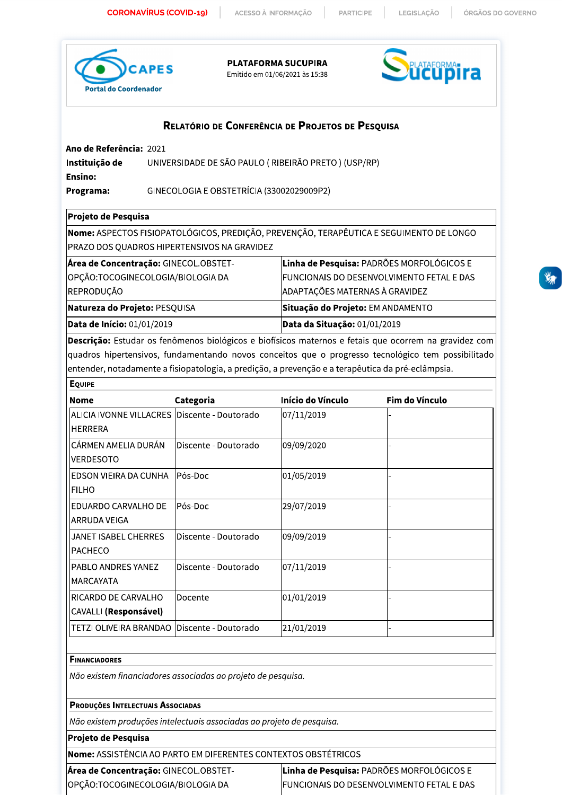ACESSO À INFORMAÇÃO

**PARTICIPE** 

LEGISLAÇÃO

ÓRGÃOS DO GOVERNO



PLATAFORMA SUCUPIRA

Emitido em 01/06/2021 às 15:38



# RELATÓRIO DE CONFERÊNCIA DE PROJETOS DE PESQUISA

Ano de Referência: 2021

UNIVERSIDADE DE SÃO PAULO (RIBEIRÃO PRETO) (USP/RP) Instituição de **Ensino:** 

Programa: GINECOLOGIA E OBSTETRÍCIA (33002029009P2)

# Projeto de Pesquisa

Nome: ASPECTOS FISIOPATOLÓGICOS, PREDIÇÃO, PREVENÇÃO, TERAPÊUTICA E SEGUIMENTO DE LONGO PRAZO DOS QUADROS HIPERTENSIVOS NA GRAVIDEZ

| Natureza do Projeto: PESQUISA<br>Data de Início: 01/01/2019 | Situação do Projeto: EM ANDAMENTO<br>Data da Situação: 01/01/2019 |
|-------------------------------------------------------------|-------------------------------------------------------------------|
|                                                             |                                                                   |
| REPRODUÇÃO                                                  | ADAPTAÇÕES MATERNAS À GRAVIDEZ                                    |
| OPÇÃO:TOCOGINECOLOGIA/BIOLOGIA DA                           | <b>FUNCIONAIS DO DESENVOLVIMENTO FETAL E DAS</b>                  |
| Área de Concentração: GINECOL.OBSTET-                       | Linha de Pesquisa: PADRÕES MORFOLÓGICOS E                         |

Descrição: Estudar os fenômenos biológicos e biofísicos maternos e fetais que ocorrem na gravidez com quadros hipertensivos, fundamentando novos conceitos que o progresso tecnológico tem possibilitado entender, notadamente a fisiopatologia, a predição, a prevenção e a terapêutica da pré-eclâmpsia.

| <b>EQUIPE</b>                                            |                      |                   |                |
|----------------------------------------------------------|----------------------|-------------------|----------------|
| <b>Nome</b>                                              | Categoria            | Início do Vínculo | Fim do Vínculo |
| ALICIA IVONNE VILLACRES Discente - Doutorado<br>IHERRERA |                      | 07/11/2019        |                |
| CÁRMEN AMELIA DURÁN<br><b>VERDESOTO</b>                  | Discente - Doutorado | 09/09/2020        |                |
| EDSON VIEIRA DA CUNHA<br>FILHO                           | Pós-Doc              | 01/05/2019        |                |
| EDUARDO CARVALHO DE<br>ARRUDA VEIGA                      | Pós-Doc              | 29/07/2019        |                |
| JANET ISABEL CHERRES<br><b>PACHECO</b>                   | Discente - Doutorado | 09/09/2019        |                |
| PABLO ANDRES YANEZ<br>IMARCAYATA                         | Discente - Doutorado | 07/11/2019        |                |
| IRICARDO DE CARVALHO<br>CAVALLI (Responsável)            | Docente              | 01/01/2019        |                |
| TETZI OLIVEIRA BRANDAO                                   | Discente - Doutorado | 21/01/2019        |                |

## **FINANCIADORES**

Não existem financiadores associadas ao projeto de pesquisa.

# PRODUÇÕES INTELECTUAIS ASSOCIADAS

Não existem produções intelectuais associadas ao projeto de pesquisa.

# Projeto de Pesquisa

Nome: ASSISTÊNCIA AO PARTO EM DIFERENTES CONTEXTOS OBSTÉTRICOS

| Área de Concentração: GINECOL.OBSTET- | Linha de Pesquisa: PADRÕES MORFOLÓGICOS E         |
|---------------------------------------|---------------------------------------------------|
| OPÇÃO:TOCOGINECOLOGIA/BIOLOGIA DA     | <b>IFUNCIONAIS DO DESENVOLVIMENTO FETAL E DAS</b> |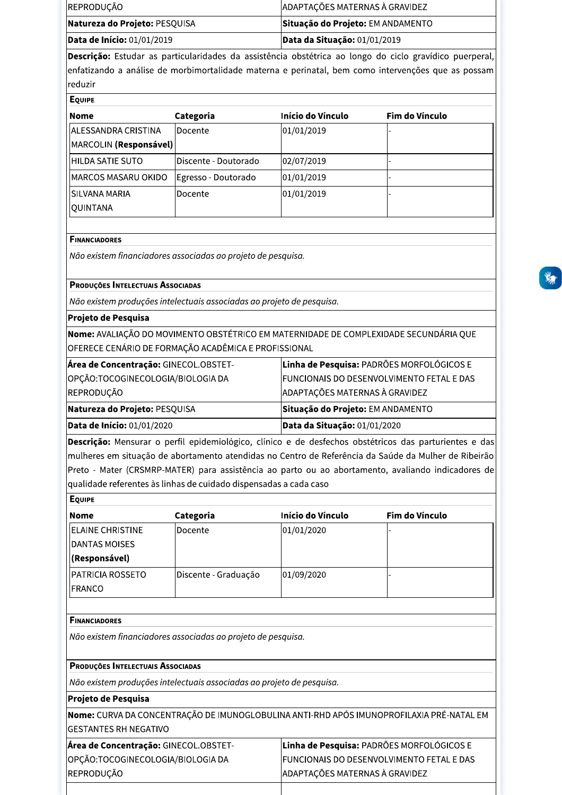| lBaaadaa ay cabulay ay magtauladahaa da aasistênsis abatétdasa ay langa da sisla gusuddisa musu |                                      |
|-------------------------------------------------------------------------------------------------|--------------------------------------|
| <b>Data de Início:</b> 01/01/2019                                                               | $\vert$ Data da Situação: 01/01/2019 |
| Natureza do Projeto: PESQUISA                                                                   | Situação do Projeto: EM ANDAMENTO    |
| REPRODUÇÃO                                                                                      | ADAPTAÇÕES MATERNAS À GRAVIDEZ       |

Descrição: Estudar as particularidades da assistência obstétrica ao longo do ciclo gravídico puerperal, enfatizando a análise de morbimortalidade materna e perinatal, bem como intervenções que as possam reduzir

| <b>Nome</b>                 | Categoria             | Início do Vínculo | Fim do Vínculo |
|-----------------------------|-----------------------|-------------------|----------------|
| <b>JALESSANDRA CRISTINA</b> | <b>IDocente</b>       | 01/01/2019        |                |
| MARCOLIN (Responsável)      |                       |                   |                |
| <b>HILDA SATIE SUTO</b>     | lDiscente - Doutorado | 02/07/2019        |                |
| MARCOS MASARU OKIDO         | Egresso - Doutorado   | 01/01/2019        |                |
| <b>ISILVANA MARIA</b>       | lDocente              | 01/01/2019        |                |
| <b>QUINTANA</b>             |                       |                   |                |
|                             |                       |                   |                |

## **FINANCIADORES**

Não existem financiadores associadas ao projeto de pesquisa.

### PRODUÇÕES INTELECTUAIS ASSOCIADAS

Não existem produções intelectuais associadas ao projeto de pesquisa.

#### Projeto de Pesquisa

Nome: AVALIAÇÃO DO MOVIMENTO OBSTÉTRICO EM MATERNIDADE DE COMPLEXIDADE SECUNDÁRIA QUE OFERECE CENÁRIO DE FORMAÇÃO ACADÊMICA E PROFISSIONAL

| <b>Data de Início:</b> 01/01/2020     | Data da Situação: 01/01/2020                     |
|---------------------------------------|--------------------------------------------------|
| <b>Natureza do Projeto: PESQUISA</b>  | Situação do Projeto: EM ANDAMENTO                |
| REPRODUÇÃO                            | ADAPTAÇÕES MATERNAS À GRAVIDEZ                   |
| OPÇÃO:TOCOGINECOLOGIA/BIOLOGIA DA     | <b>FUNCIONAIS DO DESENVOLVIMENTO FETAL E DAS</b> |
| Área de Concentração: GINECOL.OBSTET- | Linha de Pesquisa: PADRÕES MORFOLÓGICOS E        |

Descrição: Mensurar o perfil epidemiológico, clínico e de desfechos obstétricos das parturientes e das mulheres em situação de abortamento atendidas no Centro de Referência da Saúde da Mulher de Ribeirão Preto - Mater (CRSMRP-MATER) para assistência ao parto ou ao abortamento, avaliando indicadores de qualidade referentes às linhas de cuidado dispensadas a cada caso

| <b>EQUIPE</b>            |                      |                   |                |
|--------------------------|----------------------|-------------------|----------------|
| <b>Nome</b>              | Categoria            | Início do Vínculo | Fim do Vínculo |
| <b>IELAINE CHRISTINE</b> | Docente              | 01/01/2020        |                |
| <b>DANTAS MOISES</b>     |                      |                   |                |
| (Responsável)            |                      |                   |                |
| <b>IPATRICIA ROSSETO</b> | Discente - Graduação | 01/09/2020        |                |
| <b>IFRANCO</b>           |                      |                   |                |
|                          |                      |                   |                |

## **FINANCIADORES**

Não existem financiadores associadas ao projeto de pesquisa.

# PRODUÇÕES INTELECTUAIS ASSOCIADAS

Não existem produções intelectuais associadas ao projeto de pesquisa.

#### Projeto de Pesquisa

Nome: CURVA DA CONCENTRAÇÃO DE IMUNOGLOBULINA ANTI-RHD APÓS IMUNOPROFILAXIA PRÉ-NATAL EM **GESTANTES RH NEGATIVO** 

| Área de Concentração: GINECOL.OBSTET- | Linha de Pesquisa: PADRÕES MORFOLÓGICOS E        |
|---------------------------------------|--------------------------------------------------|
| OPÇÃO:TOCOGINECOLOGIA/BIOLOGIA DA     | <b>FUNCIONAIS DO DESENVOLVIMENTO FETAL E DAS</b> |
| REPRODUÇÃO                            | ADAPTAÇÕES MATERNAS À GRAVIDEZ                   |
|                                       |                                                  |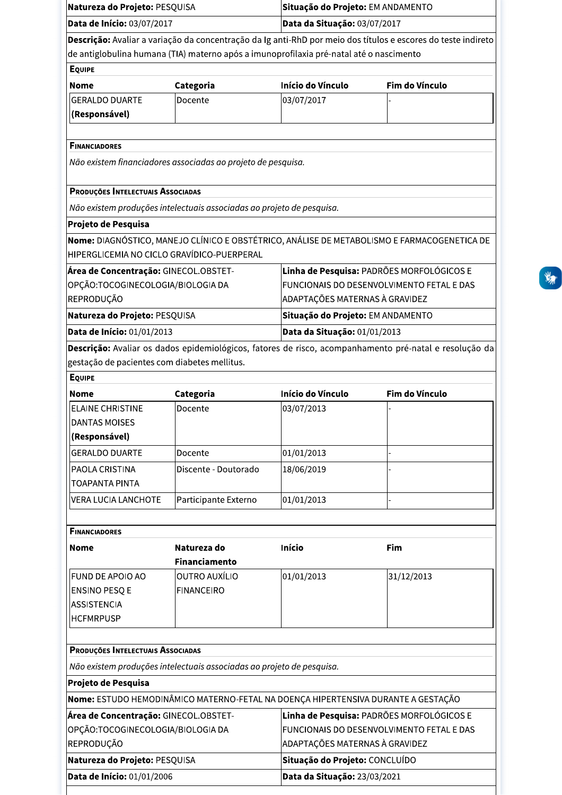| Natureza do Projeto: PESQUISA                |                                                                                         | Situação do Projeto: EM ANDAMENTO                                                                             |                                                                                                        |  |  |
|----------------------------------------------|-----------------------------------------------------------------------------------------|---------------------------------------------------------------------------------------------------------------|--------------------------------------------------------------------------------------------------------|--|--|
| Data de Início: 03/07/2017                   |                                                                                         |                                                                                                               | Data da Situação: 03/07/2017                                                                           |  |  |
|                                              |                                                                                         | Descrição: Avaliar a variação da concentração da Ig anti-RhD por meio dos títulos e escores do teste indireto |                                                                                                        |  |  |
|                                              | de antiglobulina humana (TIA) materno após a imunoprofilaxia pré-natal até o nascimento |                                                                                                               |                                                                                                        |  |  |
| <b>EQUIPE</b>                                |                                                                                         |                                                                                                               |                                                                                                        |  |  |
| <b>Nome</b>                                  | Categoria                                                                               | Início do Vínculo                                                                                             | Fim do Vínculo                                                                                         |  |  |
| <b>GERALDO DUARTE</b>                        | Docente                                                                                 | 03/07/2017                                                                                                    |                                                                                                        |  |  |
| (Responsável)                                |                                                                                         |                                                                                                               |                                                                                                        |  |  |
|                                              |                                                                                         |                                                                                                               |                                                                                                        |  |  |
| <b>FINANCIADORES</b>                         |                                                                                         |                                                                                                               |                                                                                                        |  |  |
|                                              | Não existem financiadores associadas ao projeto de pesquisa.                            |                                                                                                               |                                                                                                        |  |  |
|                                              |                                                                                         |                                                                                                               |                                                                                                        |  |  |
| PRODUÇÕES INTELECTUAIS ASSOCIADAS            |                                                                                         |                                                                                                               |                                                                                                        |  |  |
|                                              | Não existem produções intelectuais associadas ao projeto de pesquisa.                   |                                                                                                               |                                                                                                        |  |  |
| Projeto de Pesquisa                          |                                                                                         |                                                                                                               |                                                                                                        |  |  |
|                                              |                                                                                         |                                                                                                               | Nome: DIAGNÓSTICO, MANEJO CLÍNICO E OBSTÉTRICO, ANÁLISE DE METABOLISMO E FARMACOGENETICA DE            |  |  |
| HIPERGLICEMIA NO CICLO GRAVÍDICO-PUERPERAL   |                                                                                         |                                                                                                               |                                                                                                        |  |  |
| Área de Concentração: GINECOL.OBSTET-        |                                                                                         |                                                                                                               | Linha de Pesquisa: PADRÕES MORFOLÓGICOS E                                                              |  |  |
| OPÇÃO:TOCOGINECOLOGIA/BIOLOGIA DA            |                                                                                         |                                                                                                               | FUNCIONAIS DO DESENVOLVIMENTO FETAL E DAS                                                              |  |  |
| REPRODUÇÃO                                   |                                                                                         | ADAPTAÇÕES MATERNAS À GRAVIDEZ                                                                                |                                                                                                        |  |  |
| Natureza do Projeto: PESQUISA                |                                                                                         | Situação do Projeto: EM ANDAMENTO                                                                             |                                                                                                        |  |  |
| Data de Início: 01/01/2013                   |                                                                                         | Data da Situação: 01/01/2013                                                                                  |                                                                                                        |  |  |
|                                              |                                                                                         |                                                                                                               | Descrição: Avaliar os dados epidemiológicos, fatores de risco, acompanhamento pré-natal e resolução da |  |  |
| gestação de pacientes com diabetes mellitus. |                                                                                         |                                                                                                               |                                                                                                        |  |  |
| <b>EQUIPE</b>                                |                                                                                         |                                                                                                               |                                                                                                        |  |  |
| Nome                                         | Categoria                                                                               | Início do Vínculo                                                                                             | Fim do Vínculo                                                                                         |  |  |
| <b>ELAINE CHRISTINE</b>                      | Docente                                                                                 | 03/07/2013                                                                                                    |                                                                                                        |  |  |
| <b>DANTAS MOISES</b>                         |                                                                                         |                                                                                                               |                                                                                                        |  |  |
| (Responsável)                                |                                                                                         |                                                                                                               |                                                                                                        |  |  |
| <b>GERALDO DUARTE</b>                        | Docente                                                                                 | 01/01/2013                                                                                                    |                                                                                                        |  |  |
| PAOLA CRISTINA                               | Discente - Doutorado                                                                    | 18/06/2019                                                                                                    |                                                                                                        |  |  |
| <b>TOAPANTA PINTA</b>                        |                                                                                         |                                                                                                               |                                                                                                        |  |  |
| <b>VERA LUCIA LANCHOTE</b>                   | Participante Externo                                                                    | 01/01/2013                                                                                                    |                                                                                                        |  |  |
|                                              |                                                                                         |                                                                                                               |                                                                                                        |  |  |
| <b>FINANCIADORES</b>                         |                                                                                         |                                                                                                               |                                                                                                        |  |  |
|                                              |                                                                                         |                                                                                                               |                                                                                                        |  |  |
| <b>Nome</b>                                  | Natureza do<br><b>Financiamento</b>                                                     | Início                                                                                                        | Fim                                                                                                    |  |  |
|                                              | <b>OUTRO AUXÍLIO</b>                                                                    |                                                                                                               |                                                                                                        |  |  |
| FUND DE APOIO AO<br><b>ENSINO PESQ E</b>     |                                                                                         | 01/01/2013                                                                                                    | 31/12/2013                                                                                             |  |  |
| <b>ASSISTENCIA</b>                           | <b>FINANCEIRO</b>                                                                       |                                                                                                               |                                                                                                        |  |  |
| <b>HCFMRPUSP</b>                             |                                                                                         |                                                                                                               |                                                                                                        |  |  |
|                                              |                                                                                         |                                                                                                               |                                                                                                        |  |  |
| PRODUÇÕES INTELECTUAIS ASSOCIADAS            |                                                                                         |                                                                                                               |                                                                                                        |  |  |
|                                              | Não existem produções intelectuais associadas ao projeto de pesquisa.                   |                                                                                                               |                                                                                                        |  |  |
| Projeto de Pesquisa                          |                                                                                         |                                                                                                               |                                                                                                        |  |  |
|                                              | Nome: ESTUDO HEMODINÂMICO MATERNO-FETAL NA DOENÇA HIPERTENSIVA DURANTE A GESTAÇÃO       |                                                                                                               |                                                                                                        |  |  |
| Área de Concentração: GINECOL.OBSTET-        |                                                                                         |                                                                                                               | Linha de Pesquisa: PADRÕES MORFOLÓGICOS E                                                              |  |  |
| OPÇÃO:TOCOGINECOLOGIA/BIOLOGIA DA            |                                                                                         |                                                                                                               | FUNCIONAIS DO DESENVOLVIMENTO FETAL E DAS                                                              |  |  |
| REPRODUÇÃO                                   |                                                                                         | ADAPTAÇÕES MATERNAS À GRAVIDEZ                                                                                |                                                                                                        |  |  |
| Natureza do Projeto: PESQUISA                |                                                                                         | Situação do Projeto: CONCLUÍDO                                                                                |                                                                                                        |  |  |
| Data de Início: 01/01/2006                   |                                                                                         | Data da Situação: 23/03/2021                                                                                  |                                                                                                        |  |  |
|                                              |                                                                                         |                                                                                                               |                                                                                                        |  |  |

当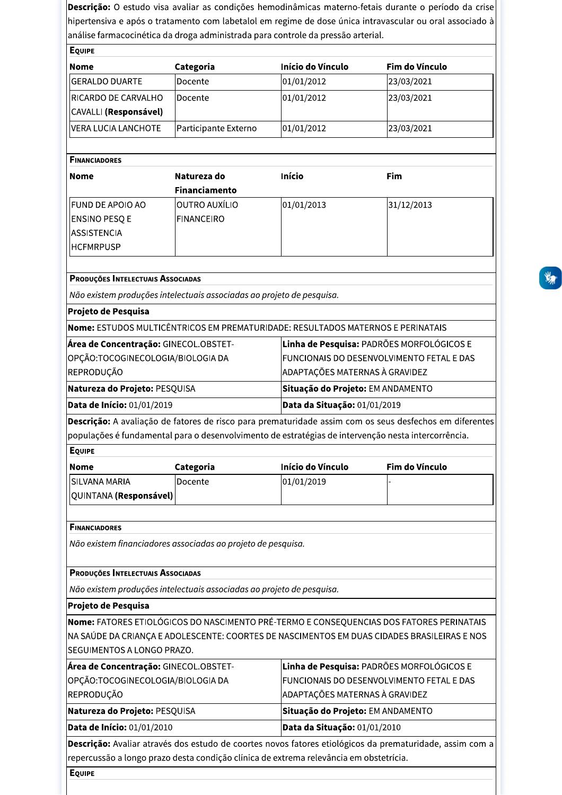|                                                                                                                                                                                                              |                                                                                  |                                   | hipertensiva e após o tratamento com labetalol em regime de dose única intravascular ou oral associado à                                                                                |  |  |
|--------------------------------------------------------------------------------------------------------------------------------------------------------------------------------------------------------------|----------------------------------------------------------------------------------|-----------------------------------|-----------------------------------------------------------------------------------------------------------------------------------------------------------------------------------------|--|--|
|                                                                                                                                                                                                              | análise farmacocinética da droga administrada para controle da pressão arterial. |                                   |                                                                                                                                                                                         |  |  |
| <b>EQUIPE</b>                                                                                                                                                                                                |                                                                                  |                                   |                                                                                                                                                                                         |  |  |
| <b>Nome</b>                                                                                                                                                                                                  | Categoria                                                                        | Início do Vínculo                 | Fim do Vínculo                                                                                                                                                                          |  |  |
| <b>GERALDO DUARTE</b>                                                                                                                                                                                        | Docente                                                                          | 01/01/2012                        | 23/03/2021                                                                                                                                                                              |  |  |
| RICARDO DE CARVALHO                                                                                                                                                                                          | Docente                                                                          | 01/01/2012                        | 23/03/2021                                                                                                                                                                              |  |  |
| CAVALLI (Responsável)                                                                                                                                                                                        |                                                                                  |                                   |                                                                                                                                                                                         |  |  |
| <b>VERA LUCIA LANCHOTE</b>                                                                                                                                                                                   | Participante Externo                                                             | 01/01/2012                        | 23/03/2021                                                                                                                                                                              |  |  |
|                                                                                                                                                                                                              |                                                                                  |                                   |                                                                                                                                                                                         |  |  |
| <b>FINANCIADORES</b>                                                                                                                                                                                         |                                                                                  |                                   |                                                                                                                                                                                         |  |  |
| <b>Nome</b>                                                                                                                                                                                                  | Natureza do                                                                      | Início                            | Fim                                                                                                                                                                                     |  |  |
|                                                                                                                                                                                                              | <b>Financiamento</b>                                                             |                                   |                                                                                                                                                                                         |  |  |
| FUND DE APOIO AO                                                                                                                                                                                             | OUTRO AUXÍLIO                                                                    | 01/01/2013                        | 31/12/2013                                                                                                                                                                              |  |  |
| <b>ENSINO PESQ E</b>                                                                                                                                                                                         | <b>FINANCEIRO</b>                                                                |                                   |                                                                                                                                                                                         |  |  |
| <b>ASSISTENCIA</b>                                                                                                                                                                                           |                                                                                  |                                   |                                                                                                                                                                                         |  |  |
| <b>HCFMRPUSP</b>                                                                                                                                                                                             |                                                                                  |                                   |                                                                                                                                                                                         |  |  |
|                                                                                                                                                                                                              |                                                                                  |                                   |                                                                                                                                                                                         |  |  |
| PRODUÇÕES INTELECTUAIS ASSOCIADAS                                                                                                                                                                            |                                                                                  |                                   |                                                                                                                                                                                         |  |  |
|                                                                                                                                                                                                              | Não existem produções intelectuais associadas ao projeto de pesquisa.            |                                   |                                                                                                                                                                                         |  |  |
| Projeto de Pesquisa                                                                                                                                                                                          |                                                                                  |                                   |                                                                                                                                                                                         |  |  |
|                                                                                                                                                                                                              | Nome: ESTUDOS MULTICÊNTRICOS EM PREMATURIDADE: RESULTADOS MATERNOS E PERINATAIS  |                                   |                                                                                                                                                                                         |  |  |
| Área de Concentração: GINECOL.OBSTET-                                                                                                                                                                        |                                                                                  |                                   | Linha de Pesquisa: PADRÕES MORFOLÓGICOS E                                                                                                                                               |  |  |
| OPÇÃO:TOCOGINECOLOGIA/BIOLOGIA DA<br>REPRODUÇÃO                                                                                                                                                              |                                                                                  |                                   | FUNCIONAIS DO DESENVOLVIMENTO FETAL E DAS<br>ADAPTAÇÕES MATERNAS À GRAVIDEZ                                                                                                             |  |  |
|                                                                                                                                                                                                              |                                                                                  |                                   |                                                                                                                                                                                         |  |  |
| Natureza do Projeto: PESQUISA                                                                                                                                                                                |                                                                                  | Situação do Projeto: EM ANDAMENTO |                                                                                                                                                                                         |  |  |
| Data de Início: 01/01/2019                                                                                                                                                                                   |                                                                                  | Data da Situação: 01/01/2019      |                                                                                                                                                                                         |  |  |
|                                                                                                                                                                                                              |                                                                                  |                                   | Descrição: A avaliação de fatores de risco para prematuridade assim com os seus desfechos em diferentes                                                                                 |  |  |
|                                                                                                                                                                                                              |                                                                                  |                                   |                                                                                                                                                                                         |  |  |
|                                                                                                                                                                                                              |                                                                                  |                                   |                                                                                                                                                                                         |  |  |
| <b>EQUIPE</b>                                                                                                                                                                                                |                                                                                  |                                   |                                                                                                                                                                                         |  |  |
| populações é fundamental para o desenvolvimento de estratégias de intervenção nesta intercorrência.<br><b>Nome</b>                                                                                           | Categoria                                                                        | Início do Vínculo                 | Fim do Vínculo                                                                                                                                                                          |  |  |
| <b>SILVANA MARIA</b>                                                                                                                                                                                         | Docente                                                                          | 01/01/2019                        |                                                                                                                                                                                         |  |  |
| QUINTANA (Responsável)                                                                                                                                                                                       |                                                                                  |                                   |                                                                                                                                                                                         |  |  |
| <b>FINANCIADORES</b>                                                                                                                                                                                         |                                                                                  |                                   |                                                                                                                                                                                         |  |  |
|                                                                                                                                                                                                              | Não existem financiadores associadas ao projeto de pesquisa.                     |                                   |                                                                                                                                                                                         |  |  |
|                                                                                                                                                                                                              |                                                                                  |                                   |                                                                                                                                                                                         |  |  |
| PRODUÇÕES INTELECTUAIS ASSOCIADAS                                                                                                                                                                            |                                                                                  |                                   |                                                                                                                                                                                         |  |  |
|                                                                                                                                                                                                              | Não existem produções intelectuais associadas ao projeto de pesquisa.            |                                   |                                                                                                                                                                                         |  |  |
|                                                                                                                                                                                                              |                                                                                  |                                   |                                                                                                                                                                                         |  |  |
|                                                                                                                                                                                                              |                                                                                  |                                   |                                                                                                                                                                                         |  |  |
|                                                                                                                                                                                                              |                                                                                  |                                   | Nome: FATORES ETIOLÓGICOS DO NASCIMENTO PRÉ-TERMO E CONSEQUENCIAS DOS FATORES PERINATAIS<br>NA SAÚDE DA CRIANÇA E ADOLESCENTE: COORTES DE NASCIMENTOS EM DUAS CIDADES BRASILEIRAS E NOS |  |  |
|                                                                                                                                                                                                              |                                                                                  |                                   |                                                                                                                                                                                         |  |  |
|                                                                                                                                                                                                              |                                                                                  |                                   | Linha de Pesquisa: PADRÕES MORFOLÓGICOS E                                                                                                                                               |  |  |
|                                                                                                                                                                                                              |                                                                                  |                                   | FUNCIONAIS DO DESENVOLVIMENTO FETAL E DAS                                                                                                                                               |  |  |
|                                                                                                                                                                                                              |                                                                                  | ADAPTAÇÕES MATERNAS À GRAVIDEZ    |                                                                                                                                                                                         |  |  |
|                                                                                                                                                                                                              |                                                                                  | Situação do Projeto: EM ANDAMENTO |                                                                                                                                                                                         |  |  |
| Projeto de Pesquisa<br>SEGUIMENTOS A LONGO PRAZO.<br>Área de Concentração: GINECOL.OBSTET-<br>OPÇÃO:TOCOGINECOLOGIA/BIOLOGIA DA<br>REPRODUÇÃO<br>Natureza do Projeto: PESQUISA<br>Data de Início: 01/01/2010 |                                                                                  | Data da Situação: 01/01/2010      |                                                                                                                                                                                         |  |  |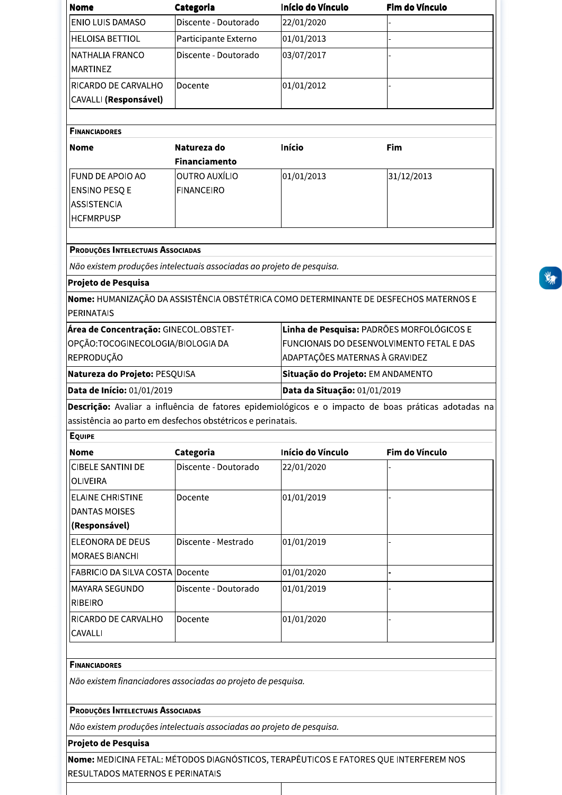| <b>Nome</b>                                                           | Categoria                                                             | Início do Vínculo                         | Fim do Vínculo                                                                                      |  |
|-----------------------------------------------------------------------|-----------------------------------------------------------------------|-------------------------------------------|-----------------------------------------------------------------------------------------------------|--|
| <b>ENIO LUIS DAMASO</b>                                               | Discente - Doutorado                                                  | 22/01/2020                                |                                                                                                     |  |
| <b>HELOISA BETTIOL</b>                                                | Participante Externo                                                  | 01/01/2013                                |                                                                                                     |  |
| NATHALIA FRANCO                                                       | Discente - Doutorado                                                  | 03/07/2017                                |                                                                                                     |  |
| <b>MARTINEZ</b>                                                       |                                                                       |                                           |                                                                                                     |  |
| RICARDO DE CARVALHO                                                   | Docente                                                               | 01/01/2012                                |                                                                                                     |  |
| <b>CAVALLI (Responsável)</b>                                          |                                                                       |                                           |                                                                                                     |  |
|                                                                       |                                                                       |                                           |                                                                                                     |  |
| <b>FINANCIADORES</b>                                                  |                                                                       |                                           |                                                                                                     |  |
| Nome                                                                  | Natureza do                                                           | <b>Início</b>                             | Fim                                                                                                 |  |
|                                                                       | <b>Financiamento</b>                                                  |                                           |                                                                                                     |  |
| <b>FUND DE APOIO AO</b>                                               | OUTRO AUXÍLIO                                                         | 01/01/2013                                | 31/12/2013                                                                                          |  |
| <b>ENSINO PESQ E</b>                                                  | <b>FINANCEIRO</b>                                                     |                                           |                                                                                                     |  |
| ASSISTENCIA                                                           |                                                                       |                                           |                                                                                                     |  |
| <b>HCFMRPUSP</b>                                                      |                                                                       |                                           |                                                                                                     |  |
|                                                                       |                                                                       |                                           |                                                                                                     |  |
| PRODUÇÕES INTELECTUAIS ASSOCIADAS                                     |                                                                       |                                           |                                                                                                     |  |
| Não existem produções intelectuais associadas ao projeto de pesquisa. |                                                                       |                                           |                                                                                                     |  |
| Projeto de Pesquisa                                                   |                                                                       |                                           |                                                                                                     |  |
|                                                                       |                                                                       |                                           | Nome: HUMANIZAÇÃO DA ASSISTÊNCIA OBSTÉTRICA COMO DETERMINANTE DE DESFECHOS MATERNOS E               |  |
| <b>PERINATAIS</b>                                                     |                                                                       |                                           |                                                                                                     |  |
| Área de Concentração: GINECOL.OBSTET-                                 |                                                                       |                                           | Linha de Pesquisa: PADRÕES MORFOLÓGICOS E                                                           |  |
| OPÇÃO:TOCOGINECOLOGIA/BIOLOGIA DA                                     |                                                                       | FUNCIONAIS DO DESENVOLVIMENTO FETAL E DAS |                                                                                                     |  |
| REPRODUÇÃO                                                            | ADAPTAÇÕES MATERNAS À GRAVIDEZ                                        |                                           |                                                                                                     |  |
| Natureza do Projeto: PESQUISA                                         |                                                                       | Situação do Projeto: EM ANDAMENTO         |                                                                                                     |  |
| Data de Início: 01/01/2019                                            | Data da Situação: 01/01/2019                                          |                                           |                                                                                                     |  |
|                                                                       |                                                                       |                                           | Descrição: Avaliar a influência de fatores epidemiológicos e o impacto de boas práticas adotadas na |  |
| assistência ao parto em desfechos obstétricos e perinatais.           |                                                                       |                                           |                                                                                                     |  |
| <b>EQUIPE</b>                                                         |                                                                       |                                           |                                                                                                     |  |
| Nome                                                                  | Categoria                                                             | Início do Vínculo                         | Fim do Vínculo                                                                                      |  |
| <b>CIBELE SANTINI DE</b>                                              | Discente - Doutorado                                                  | 22/01/2020                                |                                                                                                     |  |
| <b>OLIVEIRA</b>                                                       |                                                                       |                                           |                                                                                                     |  |
| <b>ELAINE CHRISTINE</b>                                               | Docente                                                               | 01/01/2019                                |                                                                                                     |  |
| <b>DANTAS MOISES</b>                                                  |                                                                       |                                           |                                                                                                     |  |
| (Responsável)                                                         |                                                                       |                                           |                                                                                                     |  |
| <b>ELEONORA DE DEUS</b>                                               | Discente - Mestrado                                                   | 01/01/2019                                |                                                                                                     |  |
| <b>MORAES BIANCHI</b>                                                 |                                                                       |                                           |                                                                                                     |  |
| FABRICIO DA SILVA COSTA Docente                                       |                                                                       | 01/01/2020                                |                                                                                                     |  |
| MAYARA SEGUNDO                                                        | Discente - Doutorado                                                  | 01/01/2019                                |                                                                                                     |  |
| <b>RIBEIRO</b>                                                        |                                                                       |                                           |                                                                                                     |  |
| RICARDO DE CARVALHO                                                   | Docente                                                               | 01/01/2020                                |                                                                                                     |  |
| CAVALLI                                                               |                                                                       |                                           |                                                                                                     |  |
|                                                                       |                                                                       |                                           |                                                                                                     |  |
| <b>FINANCIADORES</b>                                                  |                                                                       |                                           |                                                                                                     |  |
|                                                                       |                                                                       |                                           |                                                                                                     |  |
| Não existem financiadores associadas ao projeto de pesquisa.          |                                                                       |                                           |                                                                                                     |  |
|                                                                       |                                                                       |                                           |                                                                                                     |  |
| PRODUÇÕES INTELECTUAIS ASSOCIADAS                                     |                                                                       |                                           |                                                                                                     |  |
|                                                                       |                                                                       |                                           |                                                                                                     |  |
| Projeto de Pesquisa                                                   | Não existem produções intelectuais associadas ao projeto de pesquisa. |                                           |                                                                                                     |  |

Nome: MEDICINA FETAL: MÉTODOS DIAGNÓSTICOS, TERAPÊUTICOS E FATORES QUE INTERFEREM NOS RESULTADOS MATERNOS E PERINATAIS

**WATER**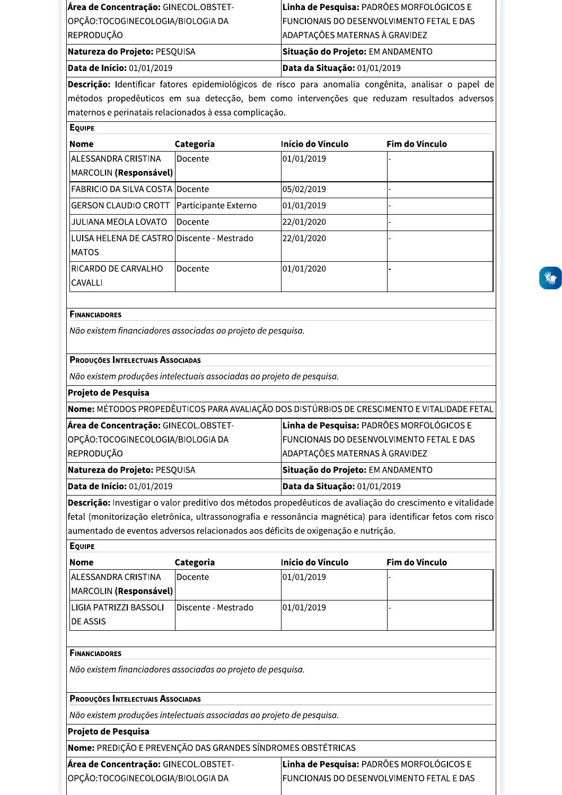| Área de Concentração: GINECOL.OBSTET- | Linha de Pesquisa: PADRÕES MORFOLÓGICOS E        |
|---------------------------------------|--------------------------------------------------|
| OPÇÃO:TOCOGINECOLOGIA/BIOLOGIA DA     | <b>FUNCIONAIS DO DESENVOLVIMENTO FETAL E DAS</b> |
| REPRODUÇÃO                            | ADAPTAÇÕES MATERNAS À GRAVIDEZ                   |
| Natureza do Projeto: PESQUISA         | Situação do Projeto: EM ANDAMENTO                |
| Data de Início: 01/01/2019            | Data da Situação: 01/01/2019                     |
|                                       |                                                  |

Descrição: Identificar fatores epidemiológicos de risco para anomalia congênita, analisar o papel de métodos propedêuticos em sua detecção, bem como intervenções que reduzam resultados adversos maternos e perinatais relacionados à essa complicação.

| <b>EQUIPE</b>                                         |                      |                   |                |  |
|-------------------------------------------------------|----------------------|-------------------|----------------|--|
| <b>Nome</b>                                           | Categoria            | Início do Vínculo | Fim do Vínculo |  |
| IALESSANDRA CRISTINA<br>MARCOLIN (Responsável)        | lDocente             | 01/01/2019        |                |  |
| lFABRICIO DA SILVA COSTA lDocente                     |                      | 05/02/2019        |                |  |
| IGERSON CLAUDIO CROTT                                 | Participante Externo | 01/01/2019        |                |  |
| JULIANA MEOLA LOVATO                                  | Docente              | 22/01/2020        |                |  |
| LUISA HELENA DE CASTRO IDiscente - Mestrado<br>IMATOS |                      | 22/01/2020        |                |  |
| RICARDO DE CARVALHO<br><b>CAVALLI</b>                 | lDocente             | 01/01/2020        |                |  |

# **FINANCIADORES**

Não existem financiadores associadas ao projeto de pesquisa.

# PRODUÇÕES INTELECTUAIS ASSOCIADAS

OPÇÃO:TOCOGINECOLOGIA/BIOLOGIA DA

Não existem produções intelectuais associadas ao projeto de pesquisa.

# Projeto de Pesquisa

Nome: MÉTODOS PROPEDÊUTICOS PARA AVALIAÇÃO DOS DISTÚRBIOS DE CRESCIMENTO E VITALIDADE FETAL

| Data de Início: 01/01/2019                    | Data da Situação: 01/01/2019                      |
|-----------------------------------------------|---------------------------------------------------|
| Natureza do Projeto: PESQUISA                 | Situação do Projeto: EM ANDAMENTO                 |
| REPRODUÇÃO                                    | ADAPTAÇÕES MATERNAS À GRAVIDEZ                    |
| OPÇÃO:TOCOGINECOLOGIA/BIOLOGIA DA             | <b>IFUNCIONAIS DO DESENVOLVIMENTO FETAL E DAS</b> |
| <b> Area de Concentração:</b> GINECOL.OBSTET- | <b>Linha de Pesquisa: PADROES MORFOLOGICOS E</b>  |

Descrição: Investigar o valor preditivo dos métodos propedêuticos de avaliação do crescimento e vitalidade fetal (monitorização eletrônica, ultrassonografia e ressonância magnética) para identificar fetos com risco aumentado de eventos adversos relacionados aos déficits de oxigenação e nutrição.

| <b>EQUIPE</b>                                                                                     |                     |                   |                                           |
|---------------------------------------------------------------------------------------------------|---------------------|-------------------|-------------------------------------------|
| <b>Nome</b>                                                                                       | Categoria           | Início do Vínculo | Fim do Vínculo                            |
| <b>ALESSANDRA CRISTINA</b>                                                                        | Docente             | 01/01/2019        |                                           |
| MARCOLIN (Responsável)                                                                            |                     |                   |                                           |
| LIGIA PATRIZZI BASSOLI                                                                            | Discente - Mestrado | 01/01/2019        |                                           |
| <b>DE ASSIS</b>                                                                                   |                     |                   |                                           |
| Não existem financiadores associadas ao projeto de pesquisa.<br>PRODUÇÕES INTELECTUAIS ASSOCIADAS |                     |                   |                                           |
| Não existem produções intelectuais associadas ao projeto de pesquisa.                             |                     |                   |                                           |
| Projeto de Pesquisa                                                                               |                     |                   |                                           |
| Nome: PREDIÇÃO E PREVENÇÃO DAS GRANDES SÍNDROMES OBSTÉTRICAS                                      |                     |                   |                                           |
| Área de Concentração: GINECOL.OBSTET-                                                             |                     |                   | Linha de Pesquisa: PADRÕES MORFOLÓGICOS E |

FUNCIONAIS DO DESENVOLVIMENTO FETAL E DAS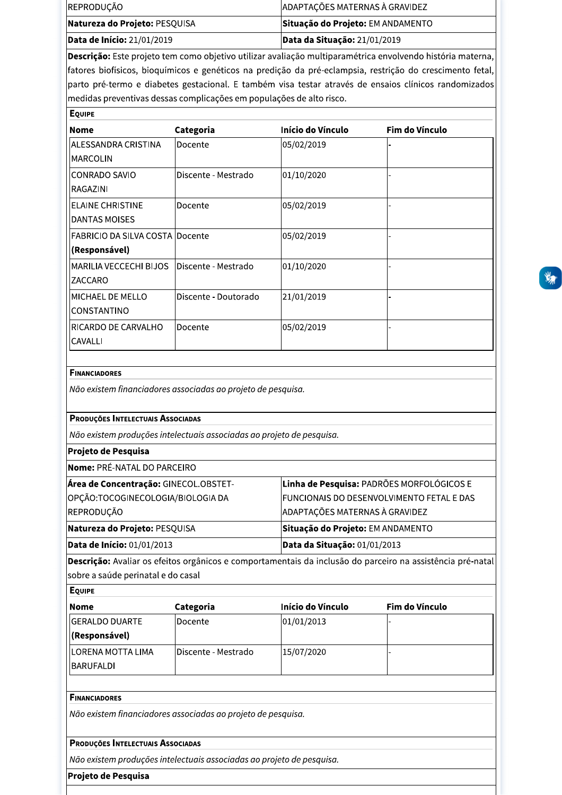| <b>Data de Início:</b> 21/01/2019 | <b>Data da Situação: 21/01/2019</b> |
|-----------------------------------|-------------------------------------|
| Natureza do Projeto: PESQUISA     | Situação do Projeto: EM ANDAMENTO   |
| REPRODUÇÃO                        | ADAPTAÇÕES MATERNAS À GRAVIDEZ      |

| Natureza do Projeto: PESQUISA<br>Data de Início: 21/01/2019<br>medidas preventivas dessas complicações em populações de alto risco.<br><b>EQUIPE</b><br><b>Nome</b><br><b>ALESSANDRA CRISTINA</b><br>MARCOLIN<br><b>CONRADO SAVIO</b><br>RAGAZINI<br><b>ELAINE CHRISTINE</b><br><b>DANTAS MOISES</b><br><b>FABRICIO DA SILVA COSTA Docente</b><br>(Responsável)<br>MARILIA VECCECHI BIJOS<br>ZACCARO<br>MICHAEL DE MELLO | Categoria<br>Docente<br>Discente - Mestrado<br>Docente | Situação do Projeto: EM ANDAMENTO<br>Data da Situação: 21/01/2019<br>Descrição: Este projeto tem como objetivo utilizar avaliação multiparamétrica envolvendo história materna,<br>fatores biofísicos, bioquímicos e genéticos na predição da pré-eclampsia, restrição do crescimento fetal,<br>parto pré-termo e diabetes gestacional. E também visa testar através de ensaios clínicos randomizados<br><b>Início do Vínculo</b><br>05/02/2019<br>01/10/2020<br>05/02/2019 | Fim do Vínculo |
|--------------------------------------------------------------------------------------------------------------------------------------------------------------------------------------------------------------------------------------------------------------------------------------------------------------------------------------------------------------------------------------------------------------------------|--------------------------------------------------------|-----------------------------------------------------------------------------------------------------------------------------------------------------------------------------------------------------------------------------------------------------------------------------------------------------------------------------------------------------------------------------------------------------------------------------------------------------------------------------|----------------|
|                                                                                                                                                                                                                                                                                                                                                                                                                          |                                                        |                                                                                                                                                                                                                                                                                                                                                                                                                                                                             |                |
|                                                                                                                                                                                                                                                                                                                                                                                                                          |                                                        |                                                                                                                                                                                                                                                                                                                                                                                                                                                                             |                |
|                                                                                                                                                                                                                                                                                                                                                                                                                          |                                                        |                                                                                                                                                                                                                                                                                                                                                                                                                                                                             |                |
|                                                                                                                                                                                                                                                                                                                                                                                                                          |                                                        |                                                                                                                                                                                                                                                                                                                                                                                                                                                                             |                |
|                                                                                                                                                                                                                                                                                                                                                                                                                          |                                                        |                                                                                                                                                                                                                                                                                                                                                                                                                                                                             |                |
|                                                                                                                                                                                                                                                                                                                                                                                                                          |                                                        |                                                                                                                                                                                                                                                                                                                                                                                                                                                                             |                |
|                                                                                                                                                                                                                                                                                                                                                                                                                          |                                                        |                                                                                                                                                                                                                                                                                                                                                                                                                                                                             |                |
|                                                                                                                                                                                                                                                                                                                                                                                                                          |                                                        | 05/02/2019                                                                                                                                                                                                                                                                                                                                                                                                                                                                  |                |
|                                                                                                                                                                                                                                                                                                                                                                                                                          | Discente - Mestrado                                    | 01/10/2020                                                                                                                                                                                                                                                                                                                                                                                                                                                                  |                |
| CONSTANTINO                                                                                                                                                                                                                                                                                                                                                                                                              | Discente - Doutorado                                   | 21/01/2019                                                                                                                                                                                                                                                                                                                                                                                                                                                                  |                |
| RICARDO DE CARVALHO<br>CAVALLI                                                                                                                                                                                                                                                                                                                                                                                           | Docente                                                | 05/02/2019                                                                                                                                                                                                                                                                                                                                                                                                                                                                  |                |
| Nome: PRÉ-NATAL DO PARCEIRO<br>Área de Concentração: GINECOL.OBSTET-                                                                                                                                                                                                                                                                                                                                                     |                                                        | Linha de Pesquisa: PADRÕES MORFOLÓGICOS E<br>FUNCIONAIS DO DESENVOLVIMENTO FETAL E DAS<br>ADAPTAÇÕES MATERNAS À GRAVIDEZ                                                                                                                                                                                                                                                                                                                                                    |                |
| OPÇÃO:TOCOGINECOLOGIA/BIOLOGIA DA                                                                                                                                                                                                                                                                                                                                                                                        |                                                        |                                                                                                                                                                                                                                                                                                                                                                                                                                                                             |                |
| REPRODUÇÃO<br>Natureza do Projeto: PESQUISA                                                                                                                                                                                                                                                                                                                                                                              |                                                        | Situação do Projeto: EM ANDAMENTO                                                                                                                                                                                                                                                                                                                                                                                                                                           |                |
| Data de Início: 01/01/2013<br>sobre a saúde perinatal e do casal<br><b>EQUIPE</b>                                                                                                                                                                                                                                                                                                                                        |                                                        | Data da Situação: 01/01/2013<br>Descrição: Avaliar os efeitos orgânicos e comportamentais da inclusão do parceiro na assistência pré-natal                                                                                                                                                                                                                                                                                                                                  |                |
| <b>Nome</b>                                                                                                                                                                                                                                                                                                                                                                                                              | Categoria                                              | Início do Vínculo                                                                                                                                                                                                                                                                                                                                                                                                                                                           | Fim do Vínculo |
| <b>GERALDO DUARTE</b>                                                                                                                                                                                                                                                                                                                                                                                                    | Docente                                                | 01/01/2013                                                                                                                                                                                                                                                                                                                                                                                                                                                                  |                |
|                                                                                                                                                                                                                                                                                                                                                                                                                          |                                                        |                                                                                                                                                                                                                                                                                                                                                                                                                                                                             |                |
| (Responsável)                                                                                                                                                                                                                                                                                                                                                                                                            |                                                        |                                                                                                                                                                                                                                                                                                                                                                                                                                                                             |                |